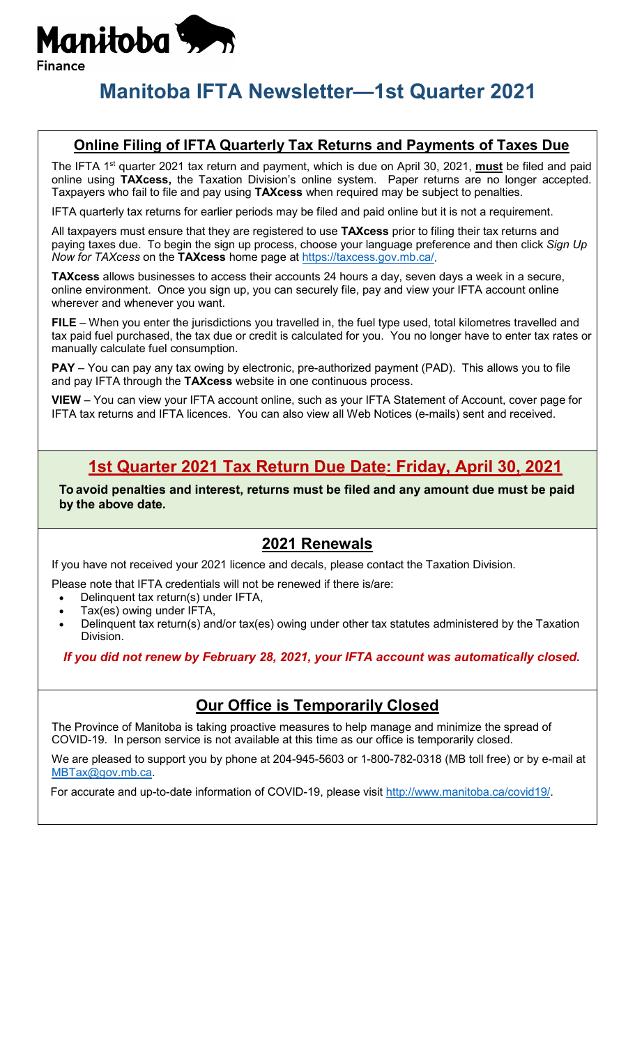

# **Manitoba IFTA Newsletter—1st Quarter 2021**

#### **Online Filing of IFTA Quarterly Tax Returns and Payments of Taxes Due**

The IFTA 1<sup>st</sup> quarter 2021 tax return and payment, which is due on April 30, 2021, **must** be filed and paid online using **TAXcess,** the Taxation Division's online system. Paper returns are no longer accepted. Taxpayers who fail to file and pay using **TAXcess** when required may be subject to penalties.

IFTA quarterly tax returns for earlier periods may be filed and paid online but it is not a requirement.

All taxpayers must ensure that they are registered to use **TAXcess** prior to filing their tax returns and paying taxes due. To begin the sign up process, choose your language preference and then click *Sign Up Now for TAXcess* on the **TAXcess** home page at [https://taxcess.gov.mb.ca/.](https://taxcess.gov.mb.ca/)

**TAXcess** allows businesses to access their accounts 24 hours a day, seven days a week in a secure, online environment. Once you sign up, you can securely file, pay and view your IFTA account online wherever and whenever you want.

**FILE** – When you enter the jurisdictions you travelled in, the fuel type used, total kilometres travelled and tax paid fuel purchased, the tax due or credit is calculated for you. You no longer have to enter tax rates or manually calculate fuel consumption.

**PAY** – You can pay any tax owing by electronic, pre-authorized payment (PAD). This allows you to file and pay IFTA through the **TAXcess** website in one continuous process.

**VIEW** – You can view your IFTA account online, such as your IFTA Statement of Account, cover page for IFTA tax returns and IFTA licences. You can also view all Web Notices (e-mails) sent and received.

## **1st Quarter 2021 Tax Return Due Date: Friday, April 30, 2021**

**To avoid penalties and interest, returns must be filed and any amount due must be paid by the above date.**

#### **2021 Renewals**

If you have not received your 2021 licence and decals, please contact the Taxation Division.

Please note that IFTA credentials will not be renewed if there is/are:

- Delinquent tax return(s) under IFTA,
- Tax(es) owing under IFTA,
- Delinquent tax return(s) and/or tax(es) owing under other tax statutes administered by the Taxation Division.

*If you did not renew by February 28, 2021, your IFTA account was automatically closed.*

### **Our Office is Temporarily Closed**

The Province of Manitoba is taking proactive measures to help manage and minimize the spread of COVID-19. In person service is not available at this time as our office is temporarily closed.

We are pleased to support you by phone at 204-945-5603 or 1-800-782-0318 (MB toll free) or by e-mail at [MBTax@gov.mb.ca.](mailto:MBTax@gov.mb.ca)

For accurate and up-to-date information of COVID-19, please visit [http://www.manitoba.ca/covid19/.](http://www.manitoba.ca/covid19/)